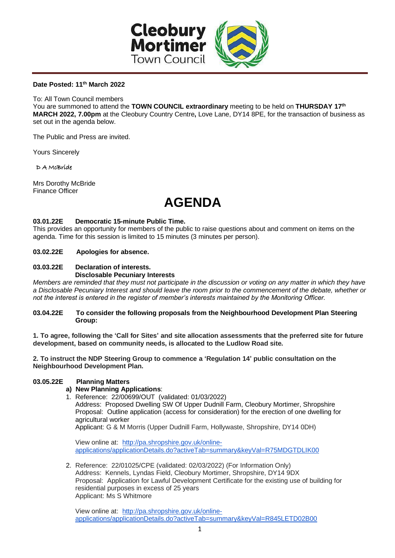

#### **Date Posted: 11 th March 2022**

To: All Town Council members

You are summoned to attend the TOWN COUNCIL extraordinary meeting to be held on THURSDAY 17<sup>th</sup> **MARCH 2022, 7.00pm** at the Cleobury Country Centre**,** Love Lane, DY14 8PE, for the transaction of business as set out in the agenda below.

The Public and Press are invited.

Yours Sincerely

D A McBride

Mrs Dorothy McBride Finance Officer

# **AGENDA**

#### **03.01.22E Democratic 15-minute Public Time.**

This provides an opportunity for members of the public to raise questions about and comment on items on the agenda. Time for this session is limited to 15 minutes (3 minutes per person).

#### **03.02.22E Apologies for absence.**

#### **03.03.22E Declaration of interests. Disclosable Pecuniary Interests**

*Members are reminded that they must not participate in the discussion or voting on any matter in which they have a Disclosable Pecuniary Interest and should leave the room prior to the commencement of the debate, whether or not the interest is entered in the register of member's interests maintained by the Monitoring Officer.*

#### **03.04.22E To consider the following proposals from the Neighbourhood Development Plan Steering Group:**

**1. To agree, following the 'Call for Sites' and site allocation assessments that the preferred site for future development, based on community needs, is allocated to the Ludlow Road site.**

**2. To instruct the NDP Steering Group to commence a 'Regulation 14' public consultation on the Neighbourhood Development Plan.**

## **03.05.22E Planning Matters**

## **a) New Planning Applications**:

1. Reference: 22/00699/OUT (validated: 01/03/2022) Address: Proposed Dwelling SW Of Upper Dudnill Farm, Cleobury Mortimer, Shropshire Proposal: Outline application (access for consideration) for the erection of one dwelling for agricultural worker Applicant: G & M Morris (Upper Dudnill Farm, Hollywaste, Shropshire, DY14 0DH)

View online at: [http://pa.shropshire.gov.uk/online](http://pa.shropshire.gov.uk/online-applications/applicationDetails.do?activeTab=summary&keyVal=R75MDGTDLIK00)[applications/applicationDetails.do?activeTab=summary&keyVal=R75MDGTDLIK00](http://pa.shropshire.gov.uk/online-applications/applicationDetails.do?activeTab=summary&keyVal=R75MDGTDLIK00)

2. Reference: 22/01025/CPE (validated: 02/03/2022) (For Information Only) Address: Kennels, Lyndas Field, Cleobury Mortimer, Shropshire, DY14 9DX Proposal: Application for Lawful Development Certificate for the existing use of building for residential purposes in excess of 25 years Applicant: Ms S Whitmore

View online at: [http://pa.shropshire.gov.uk/online](http://pa.shropshire.gov.uk/online-applications/applicationDetails.do?activeTab=summary&keyVal=R845LETD02B00)[applications/applicationDetails.do?activeTab=summary&keyVal=R845LETD02B00](http://pa.shropshire.gov.uk/online-applications/applicationDetails.do?activeTab=summary&keyVal=R845LETD02B00)